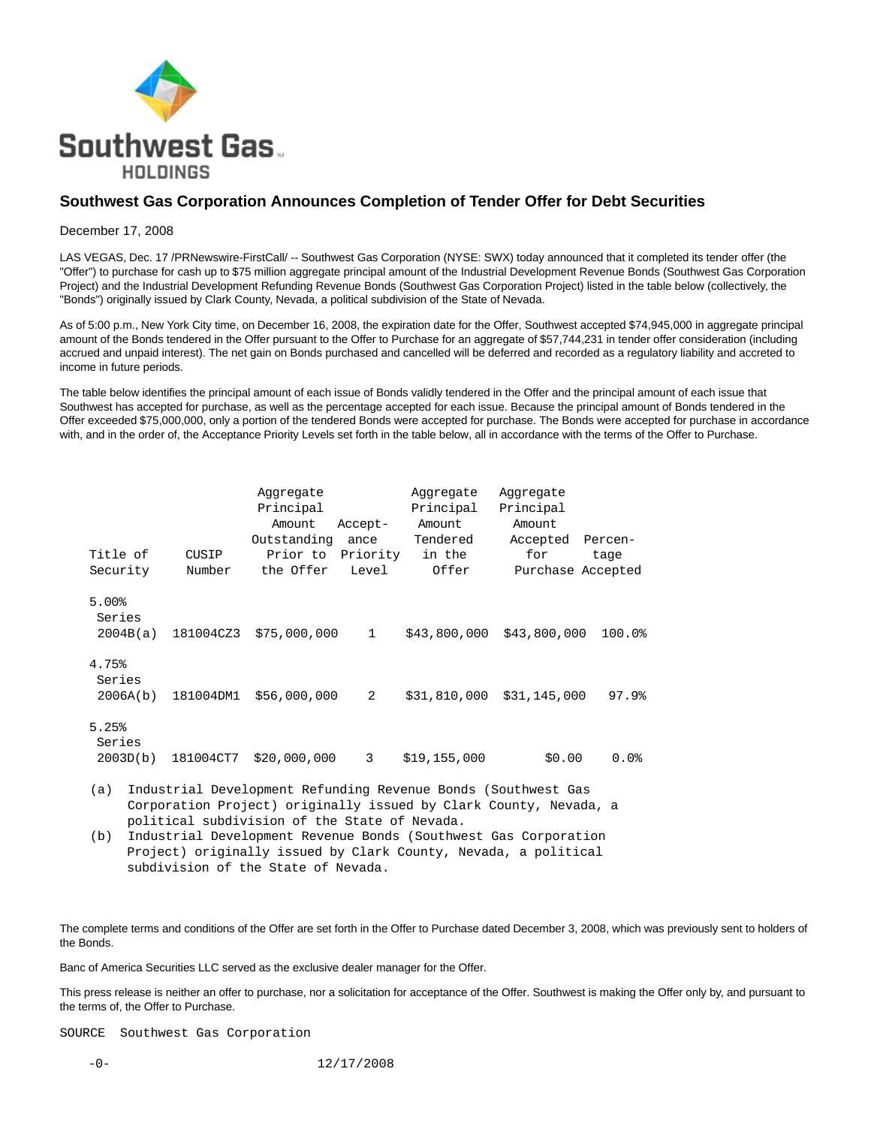

## **Southwest Gas Corporation Announces Completion of Tender Offer for Debt Securities**

## December 17, 2008

LAS VEGAS, Dec. 17 /PRNewswire-FirstCall/ -- Southwest Gas Corporation (NYSE: SWX) today announced that it completed its tender offer (the "Offer") to purchase for cash up to \$75 million aggregate principal amount of the Industrial Development Revenue Bonds (Southwest Gas Corporation Project) and the Industrial Development Refunding Revenue Bonds (Southwest Gas Corporation Project) listed in the table below (collectively, the "Bonds") originally issued by Clark County, Nevada, a political subdivision of the State of Nevada.

As of 5:00 p.m., New York City time, on December 16, 2008, the expiration date for the Offer, Southwest accepted \$74,945,000 in aggregate principal amount of the Bonds tendered in the Offer pursuant to the Offer to Purchase for an aggregate of \$57,744,231 in tender offer consideration (including accrued and unpaid interest). The net gain on Bonds purchased and cancelled will be deferred and recorded as a regulatory liability and accreted to income in future periods.

The table below identifies the principal amount of each issue of Bonds validly tendered in the Offer and the principal amount of each issue that Southwest has accepted for purchase, as well as the percentage accepted for each issue. Because the principal amount of Bonds tendered in the Offer exceeded \$75,000,000, only a portion of the tendered Bonds were accepted for purchase. The Bonds were accepted for purchase in accordance with, and in the order of, the Acceptance Priority Levels set forth in the table below, all in accordance with the terms of the Offer to Purchase.

|                                  |           | Aggregate<br>Principal |              | Aggregate<br>Principal | Aggregate<br>Principal |         |
|----------------------------------|-----------|------------------------|--------------|------------------------|------------------------|---------|
|                                  |           | Amount                 | Accept-      | Amount                 | Amount                 |         |
|                                  |           | Outstanding            | ance         | Tendered               | Accepted               | Percen- |
| Title of                         | CUSIP     | Prior to               | Priority     | in the                 | for                    | tage    |
| Security                         | Number    | the Offer              | Level        | Offer                  | Purchase Accepted      |         |
| $5.00$ $$$<br>Series<br>2004B(a) | 181004CZ3 | \$75,000,000           | $\mathbf{1}$ | \$43,800,000           | \$43,800,000           | 100.0%  |
| 4.75%<br>Series<br>2006A(b)      | 181004DM1 | \$56,000,000           | 2            | \$31,810,000           | \$31,145,000           | 97.9%   |
| 5.25%<br>Series<br>2003D(b)      | 181004CT7 | \$20,000,000           | 3            | \$19,155,000           | \$0.00                 | $0.0$ % |

 (a) Industrial Development Refunding Revenue Bonds (Southwest Gas Corporation Project) originally issued by Clark County, Nevada, a political subdivision of the State of Nevada.

The complete terms and conditions of the Offer are set forth in the Offer to Purchase dated December 3, 2008, which was previously sent to holders of the Bonds.

Banc of America Securities LLC served as the exclusive dealer manager for the Offer.

This press release is neither an offer to purchase, nor a solicitation for acceptance of the Offer. Southwest is making the Offer only by, and pursuant to the terms of, the Offer to Purchase.

SOURCE Southwest Gas Corporation

 <sup>(</sup>b) Industrial Development Revenue Bonds (Southwest Gas Corporation Project) originally issued by Clark County, Nevada, a political subdivision of the State of Nevada.